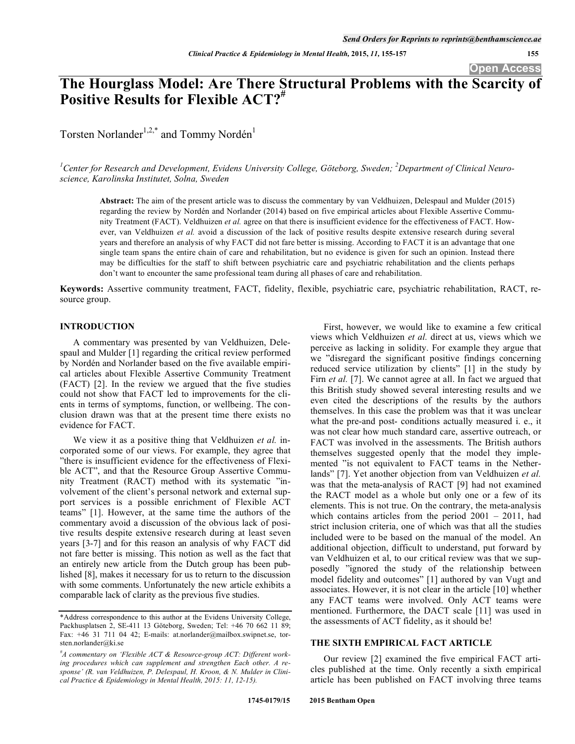**Open Access** 

# **The Hourglass Model: Are There Structural Problems with the Scarcity of**  Positive Results for Flexible ACT?<sup>#</sup>

Torsten Norlander<sup>1,2,\*</sup> and Tommy Nordén<sup>1</sup>

<sup>1</sup> Center for Research and Development, Evidens University College, Göteborg, Sweden; <sup>2</sup> Department of Clinical Neuro*science, Karolinska Institutet, Solna, Sweden* 

**Abstract:** The aim of the present article was to discuss the commentary by van Veldhuizen, Delespaul and Mulder (2015) regarding the review by Nordén and Norlander (2014) based on five empirical articles about Flexible Assertive Community Treatment (FACT). Veldhuizen *et al.* agree on that there is insufficient evidence for the effectiveness of FACT. However, van Veldhuizen et al. avoid a discussion of the lack of positive results despite extensive research during several years and therefore an analysis of why FACT did not fare better is missing. According to FACT it is an advantage that one single team spans the entire chain of care and rehabilitation, but no evidence is given for such an opinion. Instead there may be difficulties for the staff to shift between psychiatric care and psychiatric rehabilitation and the clients perhaps don't want to encounter the same professional team during all phases of care and rehabilitation.

**Keywords:** Assertive community treatment, FACT, fidelity, flexible, psychiatric care, psychiatric rehabilitation, RACT, resource group.

#### **INTRODUCTION**

A commentary was presented by van Veldhuizen, Delespaul and Mulder [1] regarding the critical review performed by Nordén and Norlander based on the five available empirical articles about Flexible Assertive Community Treatment (FACT) [2]. In the review we argued that the five studies could not show that FACT led to improvements for the clients in terms of symptoms, function, or wellbeing. The conclusion drawn was that at the present time there exists no evidence for FACT.

We view it as a positive thing that Veldhuizen *et al.* incorporated some of our views. For example, they agree that "there is insufficient evidence for the effectiveness of Flexible ACT", and that the Resource Group Assertive Community Treatment (RACT) method with its systematic "involvement of the client's personal network and external support services is a possible enrichment of Flexible ACT teams" [1]. However, at the same time the authors of the commentary avoid a discussion of the obvious lack of positive results despite extensive research during at least seven years [3-7] and for this reason an analysis of why FACT did not fare better is missing. This notion as well as the fact that an entirely new article from the Dutch group has been published [8], makes it necessary for us to return to the discussion with some comments. Unfortunately the new article exhibits a comparable lack of clarity as the previous five studies.

First, however, we would like to examine a few critical views which Veldhuizen *et al.* direct at us, views which we perceive as lacking in solidity. For example they argue that we "disregard the significant positive findings concerning reduced service utilization by clients" [1] in the study by Firn *et al.* [7]. We cannot agree at all. In fact we argued that this British study showed several interesting results and we even cited the descriptions of the results by the authors themselves. In this case the problem was that it was unclear what the pre-and post- conditions actually measured i. e., it was not clear how much standard care, assertive outreach, or FACT was involved in the assessments. The British authors themselves suggested openly that the model they implemented "is not equivalent to FACT teams in the Netherlands" [7]. Yet another objection from van Veldhuizen *et al.* was that the meta-analysis of RACT [9] had not examined the RACT model as a whole but only one or a few of its elements. This is not true. On the contrary, the meta-analysis which contains articles from the period 2001 – 2011, had strict inclusion criteria, one of which was that all the studies included were to be based on the manual of the model. An additional objection, difficult to understand, put forward by van Veldhuizen et al, to our critical review was that we supposedly "ignored the study of the relationship between model fidelity and outcomes" [1] authored by van Vugt and associates. However, it is not clear in the article [10] whether any FACT teams were involved. Only ACT teams were mentioned. Furthermore, the DACT scale [11] was used in the assessments of ACT fidelity, as it should be!

## **THE SIXTH EMPIRICAL FACT ARTICLE**

Our review [2] examined the five empirical FACT articles published at the time. Only recently a sixth empirical article has been published on FACT involving three teams

<sup>\*</sup>Address correspondence to this author at the Evidens University College, Packhusplatsen 2, SE-411 13 Göteborg, Sweden; Tel: +46 70 662 11 89; Fax: +46 31 711 04 42; E-mails: at.norlander@mailbox.swipnet.se, torsten.norlander@ki.se

*<sup>#</sup> A commentary on 'Flexible ACT & Resource-group ACT: Different working procedures which can supplement and strengthen Each other. A response' (R. van Veldhuizen, P. Delespaul, H. Kroon, & N. Mulder in Clinical Practice & Epidemiology in Mental Health, 2015: 11, 12-15).*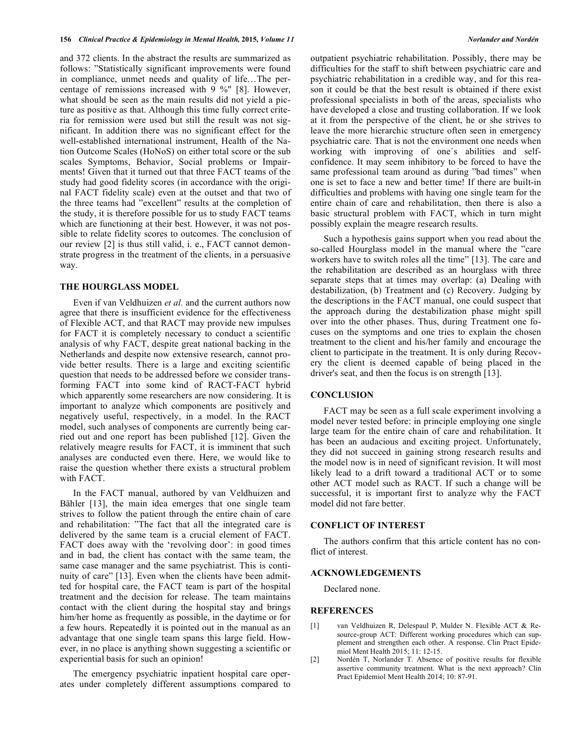and 372 clients. In the abstract the results are summarized as follows: "Statistically significant improvements were found in compliance, unmet needs and quality of life…The percentage of remissions increased with 9 %" [8]. However, what should be seen as the main results did not yield a picture as positive as that. Although this time fully correct criteria for remission were used but still the result was not significant. In addition there was no significant effect for the well-established international instrument, Health of the Nation Outcome Scales (HoNoS) on either total score or the sub scales Symptoms, Behavior, Social problems or Impairments! Given that it turned out that three FACT teams of the study had good fidelity scores (in accordance with the original FACT fidelity scale) even at the outset and that two of the three teams had "excellent" results at the completion of the study, it is therefore possible for us to study FACT teams which are functioning at their best. However, it was not possible to relate fidelity scores to outcomes. The conclusion of our review [2] is thus still valid, i. e., FACT cannot demonstrate progress in the treatment of the clients, in a persuasive way.

#### **THE HOURGLASS MODEL**

Even if van Veldhuizen *et al.* and the current authors now agree that there is insufficient evidence for the effectiveness of Flexible ACT, and that RACT may provide new impulses for FACT it is completely necessary to conduct a scientific analysis of why FACT, despite great national backing in the Netherlands and despite now extensive research, cannot provide better results. There is a large and exciting scientific question that needs to be addressed before we consider transforming FACT into some kind of RACT-FACT hybrid which apparently some researchers are now considering. It is important to analyze which components are positively and negatively useful, respectively, in a model. In the RACT model, such analyses of components are currently being carried out and one report has been published [12]. Given the relatively meagre results for FACT, it is imminent that such analyses are conducted even there. Here, we would like to raise the question whether there exists a structural problem with FACT.

In the FACT manual, authored by van Veldhuizen and Bähler [13], the main idea emerges that one single team strives to follow the patient through the entire chain of care and rehabilitation: "The fact that all the integrated care is delivered by the same team is a crucial element of FACT. FACT does away with the 'revolving door': in good times and in bad, the client has contact with the same team, the same case manager and the same psychiatrist. This is continuity of care" [13]. Even when the clients have been admitted for hospital care, the FACT team is part of the hospital treatment and the decision for release. The team maintains contact with the client during the hospital stay and brings him/her home as frequently as possible, in the daytime or for a few hours. Repeatedly it is pointed out in the manual as an advantage that one single team spans this large field. However, in no place is anything shown suggesting a scientific or experiential basis for such an opinion!

The emergency psychiatric inpatient hospital care operates under completely different assumptions compared to difficulties for the staff to shift between psychiatric care and psychiatric rehabilitation in a credible way, and for this reason it could be that the best result is obtained if there exist professional specialists in both of the areas, specialists who have developed a close and trusting collaboration. If we look at it from the perspective of the client, he or she strives to leave the more hierarchic structure often seen in emergency psychiatric care. That is not the environment one needs when working with improving of one´s abilities and selfconfidence. It may seem inhibitory to be forced to have the same professional team around as during "bad times" when one is set to face a new and better time! If there are built-in difficulties and problems with having one single team for the entire chain of care and rehabilitation, then there is also a basic structural problem with FACT, which in turn might possibly explain the meagre research results.

Such a hypothesis gains support when you read about the so-called Hourglass model in the manual where the "care workers have to switch roles all the time" [13]. The care and the rehabilitation are described as an hourglass with three separate steps that at times may overlap: (a) Dealing with destabilization, (b) Treatment and (c) Recovery. Judging by the descriptions in the FACT manual, one could suspect that the approach during the destabilization phase might spill over into the other phases. Thus, during Treatment one focuses on the symptoms and one tries to explain the chosen treatment to the client and his/her family and encourage the client to participate in the treatment. It is only during Recovery the client is deemed capable of being placed in the driver's seat, and then the focus is on strength [13].

#### **CONCLUSION**

FACT may be seen as a full scale experiment involving a model never tested before: in principle employing one single large team for the entire chain of care and rehabilitation. It has been an audacious and exciting project. Unfortunately, they did not succeed in gaining strong research results and the model now is in need of significant revision. It will most likely lead to a drift toward a traditional ACT or to some other ACT model such as RACT. If such a change will be successful, it is important first to analyze why the FACT model did not fare better.

#### **CONFLICT OF INTEREST**

The authors confirm that this article content has no conflict of interest.

#### **ACKNOWLEDGEMENTS**

Declared none.

### **REFERENCES**

- [1] van Veldhuizen R, Delespaul P, Mulder N. Flexible ACT & Resource-group ACT: Different working procedures which can supplement and strengthen each other. A response. Clin Pract Epidemiol Ment Health 2015; 11: 12-15.
- [2] Nordén T, Norlander T. Absence of positive results for flexible assertive community treatment. What is the next approach? Clin Pract Epidemiol Ment Health 2014; 10: 87-91.